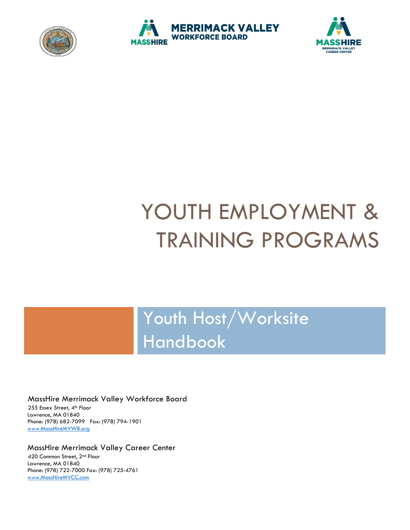





# YOUTH EMPLOYMENT & TRAINING PROGRAMS

Youth Host/Worksite Handbook

#### MassHire Merrimack Valley Workforce Board

255 Essex Street, 4th Floor Lawrence, MA 01840 Phone: (978) 682-7099 Fax: (978) 794-1901 [www.MassHireMVWB.org](http://www.masshiremvwb.org/)

#### MassHire Merrimack Valley Career Center

420 Common Street, 2nd Floor Lawrence, MA 01840 Phone: (978) 722-7000 Fax: (978) 725-4761 [www.MassHireMVCC.com](http://www.masshiremvcc.com/)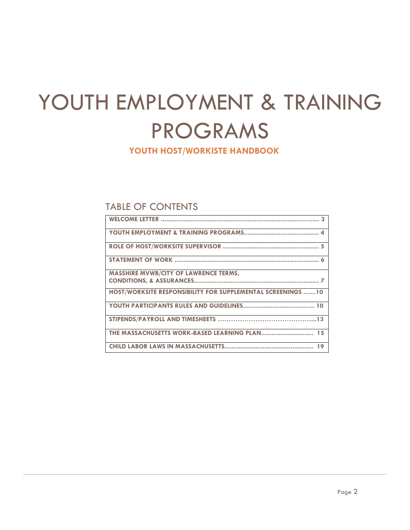# YOUTH EMPLOYMENT & TRAINING PROGRAMS

## **YOUTH HOST/WORKISTE HANDBOOK**

# TABLE OF CONTENTS

| <b>MASSHIRE MVWB/CITY OF LAWRENCE TERMS,</b>                |
|-------------------------------------------------------------|
|                                                             |
| HOST/WORKSITE RESPONSIBILITY FOR SUPPLEMENTAL SCREENINGS 10 |
|                                                             |
|                                                             |
|                                                             |
|                                                             |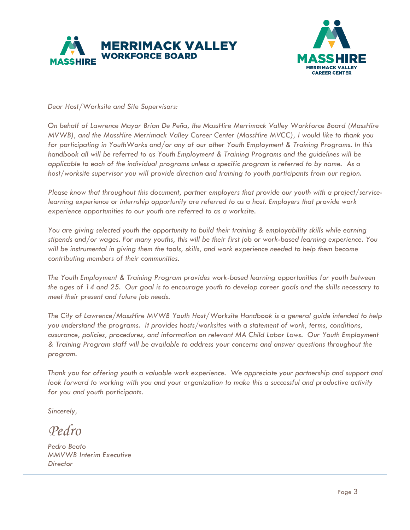



*Dear Host/Worksite and Site Supervisors:* 

*On behalf of Lawrence Mayor Brian De Peña, the MassHire Merrimack Valley Workforce Board (MassHire MVWB), and the MassHire Merrimack Valley Career Center (MassHire MVCC), I would like to thank you for participating in YouthWorks and/or any of our other Youth Employment & Training Programs. In this handbook all will be referred to as Youth Employment & Training Programs and the guidelines will be applicable to each of the individual programs unless a specific program is referred to by name. As a host/worksite supervisor you will provide direction and training to youth participants from our region.*

*Please know that throughout this document, partner employers that provide our youth with a project/servicelearning experience or internship opportunity are referred to as a host. Employers that provide work experience opportunities to our youth are referred to as a worksite.*

*You are giving selected youth the opportunity to build their training & employability skills while earning stipends and/or wages. For many youths, this will be their first job or work-based learning experience. You*  will be instrumental in giving them the tools, skills, and work experience needed to help them become *contributing members of their communities.* 

*The Youth Employment & Training Program provides work-based learning opportunities for youth between the ages of 14 and 25. Our goal is to encourage youth to develop career goals and the skills necessary to meet their present and future job needs.* 

*The City of Lawrence/MassHire MVWB Youth Host/Worksite Handbook is a general guide intended to help you understand the programs. It provides hosts/worksites with a statement of work, terms, conditions, assurance, policies, procedures, and information on relevant MA Child Labor Laws. Our Youth Employment & Training Program staff will be available to address your concerns and answer questions throughout the program.* 

*Thank you for offering youth a valuable work experience. We appreciate your partnership and support and look forward to working with you and your organization to make this a successful and productive activity for you and youth participants.* 

*Sincerely,* 

*Pedro*

*Pedro Beato MMVWB Interim Executive Director*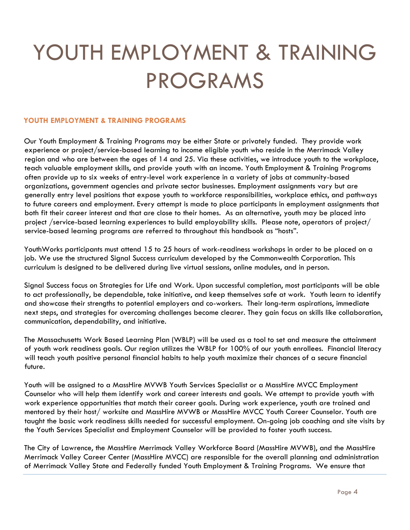# YOUTH EMPLOYMENT & TRAINING PROGRAMS

#### **YOUTH EMPLOYMENT & TRAINING PROGRAMS**

Our Youth Employment & Training Programs may be either State or privately funded. They provide work experience or project/service-based learning to income eligible youth who reside in the Merrimack Valley region and who are between the ages of 14 and 25. Via these activities, we introduce youth to the workplace, teach valuable employment skills, and provide youth with an income. Youth Employment & Training Programs often provide up to six weeks of entry-level work experience in a variety of jobs at community-based organizations, government agencies and private sector businesses. Employment assignments vary but are generally entry level positions that expose youth to workforce responsibilities, workplace ethics, and pathways to future careers and employment. Every attempt is made to place participants in employment assignments that both fit their career interest and that are close to their homes. As an alternative, youth may be placed into project /service-based learning experiences to build employability skills. Please note, operators of project/ service-based learning programs are referred to throughout this handbook as "hosts".

YouthWorks participants must attend 15 to 25 hours of work-readiness workshops in order to be placed on a job. We use the structured Signal Success curriculum developed by the Commonwealth Corporation. This curriculum is designed to be delivered during live virtual sessions, online modules, and in person.

Signal Success focus on Strategies for Life and Work. Upon successful completion, most participants will be able to act professionally, be dependable, take initiative, and keep themselves safe at work. Youth learn to identify and showcase their strengths to potential employers and co-workers. Their long-term aspirations, immediate next steps, and strategies for overcoming challenges become clearer. They gain focus on skills like collaboration, communication, dependability, and initiative.

The Massachusetts Work Based Learning Plan (WBLP) will be used as a tool to set and measure the attainment of youth work readiness goals. Our region utilizes the WBLP for 100% of our youth enrollees. Financial literacy will teach youth positive personal financial habits to help youth maximize their chances of a secure financial future.

Youth will be assigned to a MassHire MVWB Youth Services Specialist or a MassHire MVCC Employment Counselor who will help them identify work and career interests and goals. We attempt to provide youth with work experience opportunities that match their career goals. During work experience, youth are trained and mentored by their host/ worksite and MassHire MVWB or MassHire MVCC Youth Career Counselor. Youth are taught the basic work readiness skills needed for successful employment. On-going job coaching and site visits by the Youth Services Specialist and Employment Counselor will be provided to foster youth success.

The City of Lawrence, the MassHire Merrimack Valley Workforce Board (MassHire MVWB), and the MassHire Merrimack Valley Career Center (MassHire MVCC) are responsible for the overall planning and administration of Merrimack Valley State and Federally funded Youth Employment & Training Programs. We ensure that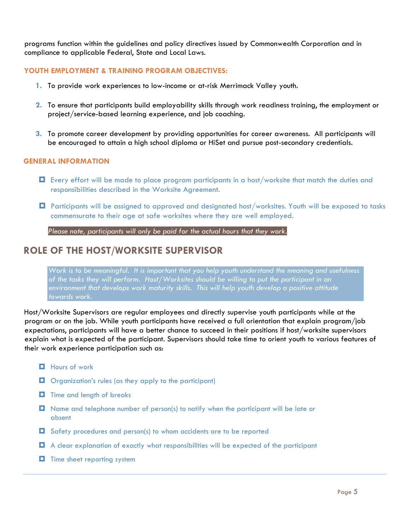programs function within the guidelines and policy directives issued by Commonwealth Corporation and in compliance to applicable Federal, State and Local Laws.

#### **YOUTH EMPLOYMENT & TRAINING PROGRAM OBJECTIVES:**

- **1.** To provide work experiences to low-income or at-risk Merrimack Valley youth.
- **2.** To ensure that participants build employability skills through work readiness training, the employment or project/service-based learning experience, and job coaching.
- **3.** To promote career development by providing opportunities for career awareness. All participants will be encouraged to attain a high school diploma or HiSet and pursue post-secondary credentials.

#### **GENERAL INFORMATION**

- Every effort will be made to place program participants in a host/worksite that match the duties and responsibilities described in the Worksite Agreement.
- Participants will be assigned to approved and designated host/worksites. Youth will be exposed to tasks commensurate to their age at safe worksites where they are well employed.

*Please note, participants will only be paid for the actual hours that they work.* 

### **ROLE OF THE HOST/WORKSITE SUPERVISOR**

*Work is to be meaningful. It is important that you help youth understand the meaning and usefulness of the tasks they will perform. Host/Worksites should be willing to put the participant in an environment that develops work maturity skills. This will help youth develop a positive attitude towards work.* 

Host/Worksite Supervisors are regular employees and directly supervise youth participants while at the program or on the job. While youth participants have received a full orientation that explain program/job expectations, participants will have a better chance to succeed in their positions if host/worksite supervisors explain what is expected of the participant. Supervisors should take time to orient youth to various features of their work experience participation such as:

- $\blacksquare$  Hours of work
- $\Box$  Organization's rules (as they apply to the participant)
- $\blacksquare$  Time and length of breaks
- Name and telephone number of person(s) to notify when the participant will be late or absent
- Safety procedures and person(s) to whom accidents are to be reported
- A clear explanation of exactly what responsibilities will be expected of the participant
- $\blacksquare$  Time sheet reporting system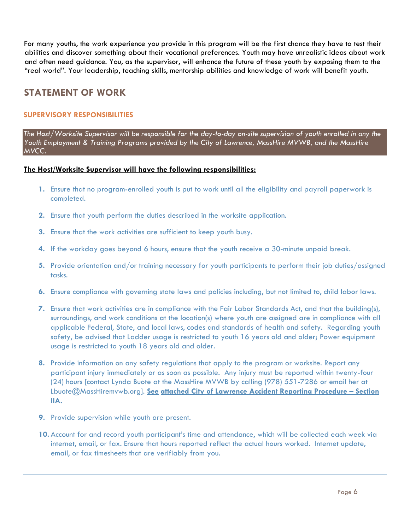For many youths, the work experience you provide in this program will be the first chance they have to test their abilities and discover something about their vocational preferences. Youth may have unrealistic ideas about work and often need guidance. You, as the supervisor, will enhance the future of these youth by exposing them to the "real world". Your leadership, teaching skills, mentorship abilities and knowledge of work will benefit youth.

# **STATEMENT OF WORK**

#### **SUPERVISORY RESPONSIBILITIES**

*The Host/Worksite Supervisor will be responsible for the day-to-day on-site supervision of youth enrolled in any the Youth Employment & Training Programs provided by the City of Lawrence, MassHire MVWB, and the MassHire MVCC.* 

#### **The Host/Worksite Supervisor will have the following responsibilities:**

- **1.** Ensure that no program-enrolled youth is put to work until all the eligibility and payroll paperwork is completed.
- **2.** Ensure that youth perform the duties described in the worksite application.
- **3.** Ensure that the work activities are sufficient to keep youth busy.
- **4.** If the workday goes beyond 6 hours, ensure that the youth receive a 30-minute unpaid break.
- **5.** Provide orientation and/or training necessary for youth participants to perform their job duties/assigned tasks.
- **6.** Ensure compliance with governing state laws and policies including, but not limited to, child labor laws.
- **7.** Ensure that work activities are in compliance with the Fair Labor Standards Act, and that the building(s), surroundings, and work conditions at the location(s) where youth are assigned are in compliance with all applicable Federal, State, and local laws, codes and standards of health and safety. Regarding youth safety, be advised that Ladder usage is restricted to youth 16 years old and older; Power equipment usage is restricted to youth 18 years old and older.
- **8.** Provide information on any safety regulations that apply to the program or worksite. Report any participant injury immediately or as soon as possible. Any injury must be reported within twenty-four (24) hours [contact Lynda Buote at the MassHire MVWB by calling (978) 551-7286 or email her at Lbuote@MassHiremvwb.org]. **See attached City of Lawrence Accident Reporting Procedure – Section IIA.**
- **9.** Provide supervision while youth are present.
- **10.** Account for and record youth participant's time and attendance, which will be collected each week via internet, email, or fax. Ensure that hours reported reflect the actual hours worked. Internet update, email, or fax timesheets that are verifiably from you.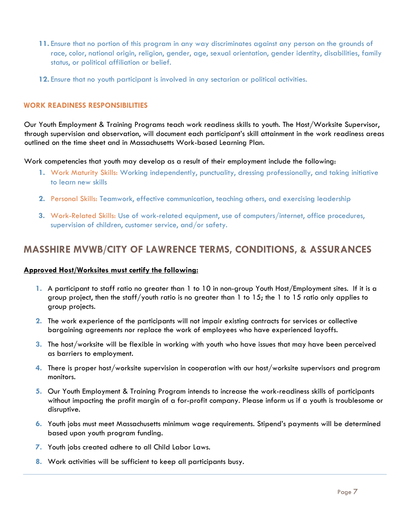- **11.** Ensure that no portion of this program in any way discriminates against any person on the grounds of race, color, national origin, religion, gender, age, sexual orientation, gender identity, disabilities, family status, or political affiliation or belief.
- **12.** Ensure that no youth participant is involved in any sectarian or political activities.

#### **WORK READINESS RESPONSIBILITIES**

Our Youth Employment & Training Programs teach work readiness skills to youth. The Host/Worksite Supervisor, through supervision and observation, will document each participant's skill attainment in the work readiness areas outlined on the time sheet and in Massachusetts Work-based Learning Plan.

Work competencies that youth may develop as a result of their employment include the following:

- **1.** Work Maturity Skills: Working independently, punctuality, dressing professionally, and taking initiative to learn new skills
- **2.** Personal Skills: Teamwork, effective communication, teaching others, and exercising leadership
- **3.** Work-Related Skills: Use of work-related equipment, use of computers/internet, office procedures, supervision of children, customer service, and/or safety.

## **MASSHIRE MVWB/CITY OF LAWRENCE TERMS, CONDITIONS, & ASSURANCES**

#### **Approved Host/Worksites must certify the following:**

- **1.** A participant to staff ratio no greater than 1 to 10 in non-group Youth Host/Employment sites. If it is a group project, then the staff/youth ratio is no greater than 1 to 15; the 1 to 15 ratio only applies to group projects.
- **2.** The work experience of the participants will not impair existing contracts for services or collective bargaining agreements nor replace the work of employees who have experienced layoffs.
- **3.** The host/worksite will be flexible in working with youth who have issues that may have been perceived as barriers to employment.
- **4.** There is proper host/worksite supervision in cooperation with our host/worksite supervisors and program monitors.
- **5.** Our Youth Employment & Training Program intends to increase the work-readiness skills of participants without impacting the profit margin of a for-profit company. Please inform us if a youth is troublesome or disruptive.
- **6.** Youth jobs must meet Massachusetts minimum wage requirements. Stipend's payments will be determined based upon youth program funding.
- **7.** Youth jobs created adhere to all Child Labor Laws.
- **8.** Work activities will be sufficient to keep all participants busy.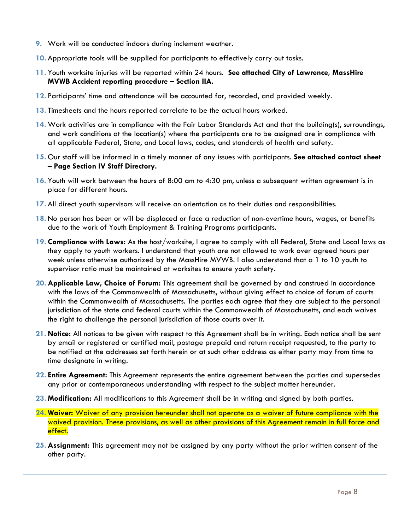- **9.** Work will be conducted indoors during inclement weather.
- **10.** Appropriate tools will be supplied for participants to effectively carry out tasks.
- **11.** Youth worksite injuries will be reported within 24 hours. **See attached City of Lawrence, MassHire MVWB Accident reporting procedure – Section IIA.**
- **12.** Participants' time and attendance will be accounted for, recorded, and provided weekly.
- **13.** Timesheets and the hours reported correlate to be the actual hours worked.
- **14.** Work activities are in compliance with the Fair Labor Standards Act and that the building(s), surroundings, and work conditions at the location(s) where the participants are to be assigned are in compliance with all applicable Federal, State, and Local laws, codes, and standards of health and safety.
- **15.** Our staff will be informed in a timely manner of any issues with participants. **See attached contact sheet – Page Section IV Staff Directory.**
- **16.** Youth will work between the hours of 8:00 am to 4:30 pm, unless a subsequent written agreement is in place for different hours.
- **17.** All direct youth supervisors will receive an orientation as to their duties and responsibilities.
- **18.** No person has been or will be displaced or face a reduction of non-overtime hours, wages, or benefits due to the work of Youth Employment & Training Programs participants.
- **19. Compliance with Laws:** As the host/worksite, I agree to comply with all Federal, State and Local laws as they apply to youth workers. I understand that youth are not allowed to work over agreed hours per week unless otherwise authorized by the MassHire MVWB. I also understand that a 1 to 10 youth to supervisor ratio must be maintained at worksites to ensure youth safety.
- **20. Applicable Law, Choice of Forum:** This agreement shall be governed by and construed in accordance with the laws of the Commonwealth of Massachusetts, without giving effect to choice of forum of courts within the Commonwealth of Massachusetts. The parties each agree that they are subject to the personal jurisdiction of the state and federal courts within the Commonwealth of Massachusetts, and each waives the right to challenge the personal jurisdiction of those courts over it.
- **21. Notice:** All notices to be given with respect to this Agreement shall be in writing. Each notice shall be sent by email or registered or certified mail, postage prepaid and return receipt requested, to the party to be notified at the addresses set forth herein or at such other address as either party may from time to time designate in writing.
- **22. Entire Agreement:** This Agreement represents the entire agreement between the parties and supersedes any prior or contemporaneous understanding with respect to the subject matter hereunder.
- **23. Modification:** All modifications to this Agreement shall be in writing and signed by both parties.
- **24. Waiver:** Waiver of any provision hereunder shall not operate as a waiver of future compliance with the waived provision. These provisions, as well as other provisions of this Agreement remain in full force and effect.
- **25. Assignment:** This agreement may not be assigned by any party without the prior written consent of the other party.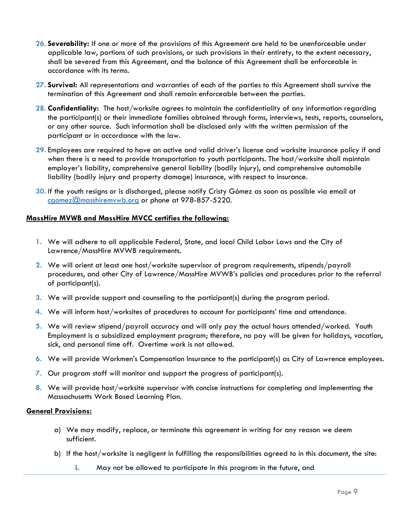- **26. Severability:** If one or more of the provisions of this Agreement are held to be unenforceable under applicable law, portions of such provisions, or such provisions in their entirety, to the extent necessary, shall be severed from this Agreement, and the balance of this Agreement shall be enforceable in accordance with its terms.
- **27. Survival:** All representations and warranties of each of the parties to this Agreement shall survive the termination of this Agreement and shall remain enforceable between the parties.
- **28. Confidentiality:** The host/worksite agrees to maintain the confidentiality of any information regarding the participant(s) or their immediate families obtained through forms, interviews, tests, reports, counselors, or any other source. Such information shall be disclosed only with the written permission of the participant or in accordance with the law.
- **29.** Employees are required to have an active and valid driver's license and worksite insurance policy if and when there is a need to provide transportation to youth participants. The host/worksite shall maintain employer's liability, comprehensive general liability (bodily injury), and comprehensive automobile liability (bodily injury and property damage) insurance, with respect to insurance.
- **30.** If the youth resigns or is discharged, please notify Cristy Gómez as soon as possible via email at [cgomez@masshiremvwb.org](mailto:cgomez@masshiremvwb.org) or phone at 978-857-5220.

#### **MassHire MVWB and MassHire MVCC certifies the following:**

- **1.** We will adhere to all applicable Federal, State, and local Child Labor Laws and the City of Lawrence/MassHire MVWB requirements.
- **2.** We will orient at least one host/worksite supervisor of program requirements, stipends/payroll procedures, and other City of Lawrence/MassHire MVWB's policies and procedures prior to the referral of participant(s).
- **3.** We will provide support and counseling to the participant(s) during the program period.
- **4.** We will inform host/worksites of procedures to account for participants' time and attendance.
- **5.** We will review stipend/payroll accuracy and will only pay the actual hours attended/worked. Youth Employment is a subsidized employment program; therefore, no pay will be given for holidays, vacation, sick, and personal time off. Overtime work is not allowed.
- **6.** We will provide Workmen's Compensation Insurance to the participant(s) as City of Lawrence employees.
- **7.** Our program staff will monitor and support the progress of participant(s).
- **8.** We will provide host/worksite supervisor with concise instructions for completing and implementing the Massachusetts Work Based Learning Plan.

#### **General Provisions:**

- a) We may modify, replace, or terminate this agreement in writing for any reason we deem sufficient.
- b) If the host/worksite is negligent in fulfilling the responsibilities agreed to in this document, the site:
	- i. May not be allowed to participate in this program in the future, and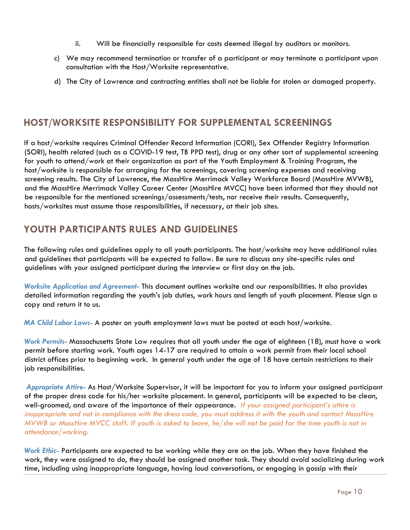- ii. Will be financially responsible for costs deemed illegal by auditors or monitors.
- c) We may recommend termination or transfer of a participant or may terminate a participant upon consultation with the Host/Worksite representative.
- d) The City of Lawrence and contracting entities shall not be liable for stolen or damaged property.

# **HOST/WORKSITE RESPONSIBILITY FOR SUPPLEMENTAL SCREENINGS**

If a host/worksite requires Criminal Offender Record Information (CORI), Sex Offender Registry Information (SORI), health related (such as a COVID-19 test, TB PPD test), drug or any other sort of supplemental screening for youth to attend/work at their organization as part of the Youth Employment & Training Program, the host/worksite is responsible for arranging for the screenings, covering screening expenses and receiving screening results. The City of Lawrence, the MassHire Merrimack Valley Workforce Board (MassHire MVWB), and the MassHire Merrimack Valley Career Center (MassHire MVCC) have been informed that they should not be responsible for the mentioned screenings/assessments/tests, nor receive their results. Consequently, hosts/worksites must assume those responsibilities, if necessary, at their job sites.

# **YOUTH PARTICIPANTS RULES AND GUIDELINES**

The following rules and guidelines apply to all youth participants. The host/worksite may have additional rules and guidelines that participants will be expected to follow. Be sure to discuss any site-specific rules and guidelines with your assigned participant during the interview or first day on the job.

*Worksite Application and Agreement-* This document outlines worksite and our responsibilities. It also provides detailed information regarding the youth's job duties, work hours and length of youth placement. Please sign a copy and return it to us.

*MA Child Labor Laws-* A poster on youth employment laws must be posted at each host/worksite.

*Work Permits-* Massachusetts State Law requires that all youth under the age of eighteen (18), must have a work permit before starting work. Youth ages 14-17 are required to attain a work permit from their local school district offices prior to beginning work. In general youth under the age of 18 have certain restrictions to their job responsibilities.

*Appropriate Attire-* As Host/Worksite Supervisor, it will be important for you to inform your assigned participant of the proper dress code for his/her worksite placement. In general, participants will be expected to be clean, well-groomed, and aware of the importance of their appearance*. If your assigned participant's attire is inappropriate and not in compliance with the dress code, you must address it with the youth and contact MassHire MVWB or MassHire MVCC staff. If youth is asked to leave, he/she will not be paid for the time youth is not in attendance/working.* 

*Work Ethic-* Participants are expected to be working while they are on the job. When they have finished the work, they were assigned to do, they should be assigned another task. They should avoid socializing during work time, including using inappropriate language, having loud conversations, or engaging in gossip with their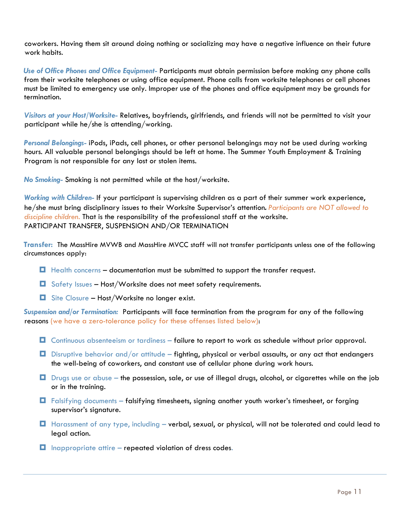coworkers. Having them sit around doing nothing or socializing may have a negative influence on their future work habits.

*Use of Office Phones and Office Equipment-* Participants must obtain permission before making any phone calls from their worksite telephones or using office equipment. Phone calls from worksite telephones or cell phones must be limited to emergency use only. Improper use of the phones and office equipment may be grounds for termination.

*Visitors at your Host/Worksite-* Relatives, boyfriends, girlfriends, and friends will not be permitted to visit your participant while he/she is attending/working.

*Personal Belongings-* iPods, iPads, cell phones, or other personal belongings may not be used during working hours. All valuable personal belongings should be left at home. The Summer Youth Employment & Training Program is not responsible for any lost or stolen items.

*No Smoking-* Smoking is not permitted while at the host/worksite.

*Working with Children-* If your participant is supervising children as a part of their summer work experience, he/she must bring disciplinary issues to their Worksite Supervisor's attention*. Participants are NOT allowed to discipline children.* That is the responsibility of the professional staff at the worksite. PARTICIPANT TRANSFER, SUSPENSION AND/OR TERMINATION

**Transfer:** The MassHire MVWB and MassHire MVCC staff will not transfer participants unless one of the following circumstances apply:

- **Health concerns documentation must be submitted to support the transfer request.**
- $\Box$  Safety Issues Host/Worksite does not meet safety requirements.
- $\Box$  Site Closure Host/Worksite no longer exist.

*Suspension and/or Termination:* Participants will face termination from the program for any of the following reasons (we have a zero-tolerance policy for these offenses listed below):

- $\Box$  Continuous absenteeism or tardiness failure to report to work as schedule without prior approval.
- $\Box$  Disruptive behavior and/or attitude fighting, physical or verbal assaults, or any act that endangers the well-being of coworkers, and constant use of cellular phone during work hours.
- Drugs use or abuse the possession, sale, or use of illegal drugs, alcohol, or cigarettes while on the job or in the training.
- Falsifying documents falsifying timesheets, signing another youth worker's timesheet, or forging supervisor's signature.
- **H** Harassment of any type, including verbal, sexual, or physical, will not be tolerated and could lead to legal action.
- $\Box$  Inappropriate attire repeated violation of dress codes.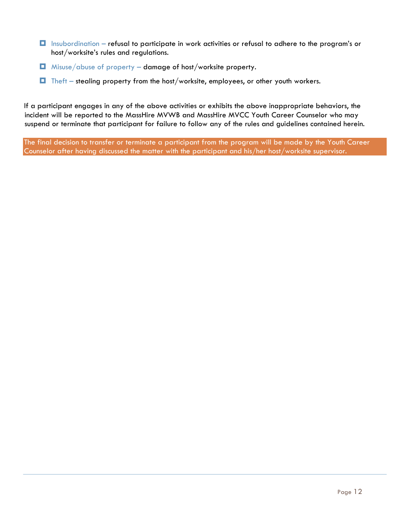- $\Box$  Insubordination refusal to participate in work activities or refusal to adhere to the program's or host/worksite's rules and regulations.
- $\Box$  Misuse/abuse of property damage of host/worksite property.
- $\Box$  Theft stealing property from the host/worksite, employees, or other youth workers.

If a participant engages in any of the above activities or exhibits the above inappropriate behaviors, the incident will be reported to the MassHire MVWB and MassHire MVCC Youth Career Counselor who may suspend or terminate that participant for failure to follow any of the rules and guidelines contained herein.

The final decision to transfer or terminate a participant from the program will be made by the Youth Career Counselor after having discussed the matter with the participant and his/her host/worksite supervisor.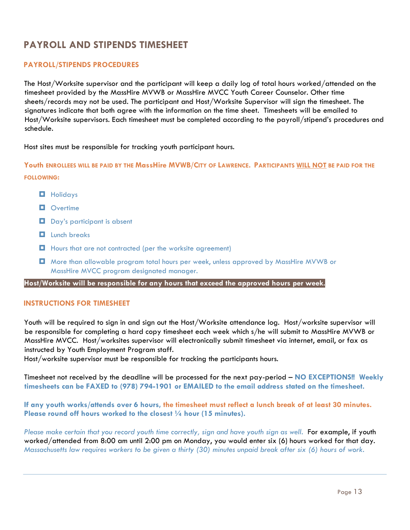# **PAYROLL AND STIPENDS TIMESHEET**

#### **PAYROLL/STIPENDS PROCEDURES**

The Host/Worksite supervisor and the participant will keep a daily log of total hours worked/attended on the timesheet provided by the MassHire MVWB or MassHire MVCC Youth Career Counselor. Other time sheets/records may not be used. The participant and Host/Worksite Supervisor will sign the timesheet. The signatures indicate that both agree with the information on the time sheet. Timesheets will be emailed to Host/Worksite supervisors. Each timesheet must be completed according to the payroll/stipend's procedures and schedule.

Host sites must be responsible for tracking youth participant hours.

**Youth ENROLLEES WILL BE PAID BY THE MassHire MVWB/CITY OF LAWRENCE. PARTICIPANTS WILL NOT BE PAID FOR THE FOLLOWING:**

- **Holidays**
- **D** Overtime
- Day's participant is absent
- $\blacksquare$  Lunch breaks
- **Hours that are not contracted (per the worksite agreement)**
- More than allowable program total hours per week, unless approved by MassHire MVWB or MassHire MVCC program designated manager.

**Host/Worksite will be responsible for any hours that exceed the approved hours per week***.*

#### **INSTRUCTIONS FOR TIMESHEET**

Youth will be required to sign in and sign out the Host/Worksite attendance log. Host/worksite supervisor will be responsible for completing a hard copy timesheet each week which s/he will submit to MassHire MVWB or MassHire MVCC. Host/worksites supervisor will electronically submit timesheet via internet, email, or fax as instructed by Youth Employment Program staff.

Host/worksite supervisor must be responsible for tracking the participants hours.

Timesheet not received by the deadline will be processed for the next pay-period – **NO EXCEPTIONS!! Weekly timesheets can be FAXED to (978) 794-1901 or EMAILED to the email address stated on the timesheet.**

**If any youth works/attends over 6 hours, the timesheet must reflect a lunch break of at least 30 minutes. Please round off hours worked to the closest ¼ hour (15 minutes).** 

*Please make certain that you record youth time correctly, sign and have youth sign as well.* For example, if youth worked/attended from 8:00 am until 2:00 pm on Monday, you would enter six (6) hours worked for that day. *Massachusetts law requires workers to be given a thirty (30) minutes unpaid break after six (6) hours of work.*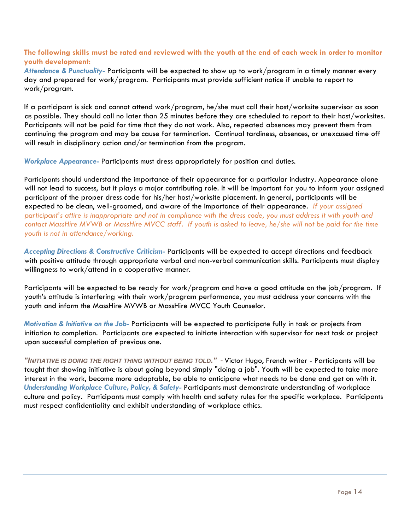#### **The following skills must be rated and reviewed with the youth at the end of each week in order to monitor youth development:**

*Attendance & Punctuality-* Participants will be expected to show up to work/program in a timely manner every day and prepared for work/program. Participants must provide sufficient notice if unable to report to work/program.

If a participant is sick and cannot attend work/program, he/she must call their host/worksite supervisor as soon as possible. They should call no later than 25 minutes before they are scheduled to report to their host/worksites. Participants will not be paid for time that they do not work. Also, repeated absences may prevent them from continuing the program and may be cause for termination. Continual tardiness, absences, or unexcused time off will result in disciplinary action and/or termination from the program.

*Workplace Appearance-* Participants must dress appropriately for position and duties.

Participants should understand the importance of their appearance for a particular industry. Appearance alone will not lead to [success,](http://www.ehow.com/info_8551781_importance-appearance-workplace.html) but it plays a major contributing role. It will be important for you to inform your assigned participant of the proper dress code for his/her host/worksite placement. In general, participants will be expected to be clean, well-groomed, and aware of the importance of their appearance*. If your assigned participant's attire is inappropriate and not in compliance with the dress code, you must address it with youth and contact MassHire MVWB or MassHire MVCC staff. If youth is asked to leave, he/she will not be paid for the time youth is not in attendance/working.* 

*Accepting Directions & Constructive Criticism-* Participants will be expected to accept directions and feedback with positive attitude through appropriate verbal and non-verbal communication skills. Participants must display willingness to work/attend in a cooperative manner.

Participants will be expected to be ready for work/program and have a good attitude on the job/program. If youth's attitude is interfering with their work/program performance, you must address your concerns with the youth and inform the MassHire MVWB or MassHire MVCC Youth Counselor.

*Motivation & Initiative on the Job-* Participants will be expected to participate fully in task or projects from initiation to completion. Participants are expected to initiate interaction with supervisor for next task or project upon successful completion of previous one.

*"INITIATIVE IS DOING THE RIGHT THING WITHOUT BEING TOLD." -* Victor Hugo, French writer - Participants will be taught that showing initiative is about going beyond simply "doing a job". Youth will be expected to take more interest in the work, become more adaptable, be able to anticipate what needs to be done and get on with it. *Understanding Workplace Culture, Policy, & Safety-* Participants must demonstrate understanding of workplace culture and policy. Participants must comply with health and safety rules for the specific workplace. Participants must respect confidentiality and exhibit understanding of workplace ethics.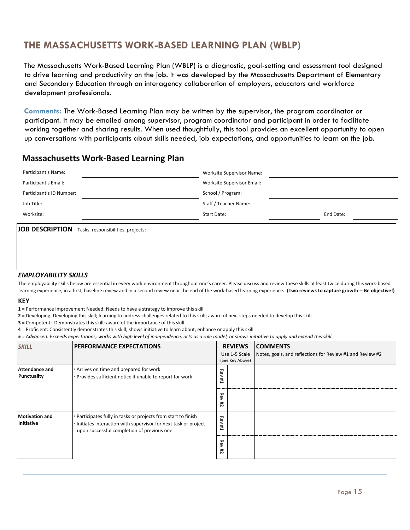# **THE MASSACHUSETTS WORK-BASED LEARNING PLAN (WBLP)**

The Massachusetts Work-Based Learning Plan (WBLP) is a diagnostic, goal-setting and assessment tool designed to drive learning and productivity on the job. It was developed by the Massachusetts Department of Elementary and Secondary Education through an interagency collaboration of employers, educators and workforce development professionals.

**Comments:** The Work-Based Learning Plan may be written by the supervisor, the program coordinator or participant. It may be emailed among supervisor, program coordinator and participant in order to facilitate working together and sharing results. When used thoughtfully, this tool provides an excellent opportunity to open up conversations with participants about skills needed, job expectations, and opportunities to learn on the job.

#### **Massachusetts Work-Based Learning Plan**

| Participant's Name:      | <b>Worksite Supervisor Name:</b> |           |
|--------------------------|----------------------------------|-----------|
| Participant's Email:     | Worksite Supervisor Email:       |           |
| Participant's ID Number: | School / Program:                |           |
| Job Title:               | Staff / Teacher Name:            |           |
| Worksite:                | Start Date:                      | End Date: |
|                          |                                  |           |

**JOB DESCRIPTION** – Tasks, responsibilities, projects:

#### *EMPLOYABILITY SKILLS*

The employability skills below are essential in every work environment throughout one's career. Please discuss and review these skills at least twice during this work-based learning experience, in a first, baseline review and in a second review near the end of the work-based learning experience**. (Two reviews to capture growth -- Be objective!)**

#### **KEY**

**1** = Performance Improvement Needed: Needs to have a strategy to improve this skill

**2** = Developing: Developing this skill; learning to address challenges related to this skill; aware of next steps needed to develop this skill

**3** = Competent: Demonstrates this skill; aware of the importance of this skill

**4** = Proficient: Consistently demonstrates this skill; shows initiative to learn about, enhance or apply this skill

*5 = Advanced: Exceeds expectations; works with high level of independence, acts as a role model, or shows initiative to apply and extend this skill*

| <b>SKILL</b>                                                                                                                                 | <b>IPERFORMANCE EXPECTATIONS</b>                                                                                                                                                 | <b>REVIEWS</b><br>Use 1-5 Scale<br>(See Key Above) |  |  |  | <b>COMMENTS</b><br>Notes, goals, and reflections for Review #1 and Review #2 |
|----------------------------------------------------------------------------------------------------------------------------------------------|----------------------------------------------------------------------------------------------------------------------------------------------------------------------------------|----------------------------------------------------|--|--|--|------------------------------------------------------------------------------|
| . Arrives on time and prepared for work<br><b>Attendance and</b><br>Punctuality<br>. Provides sufficient notice if unable to report for work | Rev<br>Ħ,                                                                                                                                                                        |                                                    |  |  |  |                                                                              |
|                                                                                                                                              |                                                                                                                                                                                  | Rev<br>#                                           |  |  |  |                                                                              |
| <b>Motivation and</b><br>Initiative                                                                                                          | . Participates fully in tasks or projects from start to finish<br>. Initiates interaction with supervisor for next task or project<br>upon successful completion of previous one | Rev<br>Ħ,                                          |  |  |  |                                                                              |
|                                                                                                                                              |                                                                                                                                                                                  | Rev<br>#2                                          |  |  |  |                                                                              |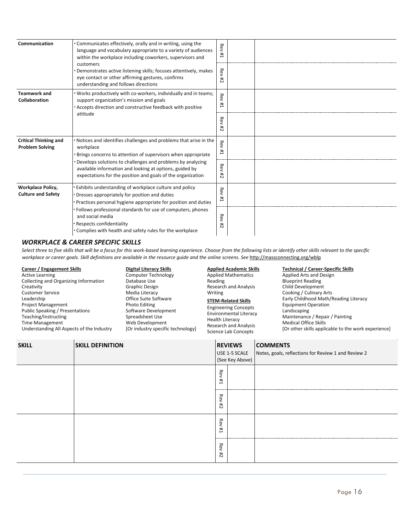| Communication                                          | Communicates effectively, orally and in writing, using the<br>language and vocabulary appropriate to a variety of audiences<br>within the workplace including coworkers, supervisors and<br>customers<br>Demonstrates active listening skills; focuses attentively, makes<br>eye contact or other affirming gestures, confirms<br>understanding and follows directions | <b>Rev</b><br>Ħ, |  |
|--------------------------------------------------------|------------------------------------------------------------------------------------------------------------------------------------------------------------------------------------------------------------------------------------------------------------------------------------------------------------------------------------------------------------------------|------------------|--|
|                                                        |                                                                                                                                                                                                                                                                                                                                                                        | Rev<br>#2        |  |
| <b>Teamwork and</b><br>Collaboration                   | Works productively with co-workers, individually and in teams;<br>support organization's mission and goals<br>Accepts direction and constructive feedback with positive                                                                                                                                                                                                | Rev<br>#1        |  |
| attitude                                               | <b>Rev</b><br>#2                                                                                                                                                                                                                                                                                                                                                       |                  |  |
| <b>Critical Thinking and</b><br><b>Problem Solving</b> | Notices and identifies challenges and problems that arise in the<br>workplace<br>Brings concerns to attention of supervisors when appropriate                                                                                                                                                                                                                          | Rev<br>Ħ,        |  |
|                                                        | Develops solutions to challenges and problems by analyzing<br>available information and looking at options, guided by<br>expectations for the position and goals of the organization                                                                                                                                                                                   | <b>Rev</b><br>#  |  |
| <b>Workplace Policy,</b><br><b>Culture and Safety</b>  | Exhibits understanding of workplace culture and policy<br>Dresses appropriately for position and duties<br>Practices personal hygiene appropriate for position and duties                                                                                                                                                                                              | Rev<br>Ħ,        |  |
|                                                        | Follows professional standards for use of computers, phones<br>and social media<br>Respects confidentiality<br>Complies with health and safety rules for the workplace                                                                                                                                                                                                 | Rev<br>#         |  |

#### *WORKPLACE & CAREER SPECIFIC SKILLS*

*Select three to five skills that will be a focus for this work-based learning experience. Choose from the following lists or identify other skills relevant to the specific*  workplace or career goals. Skill definitions are available in the resource guide and the online screens. See <http://massconnecting.org/wblp>

Active Learning Collecting and Organizing Information **Creativity** Customer Service Leadership Project Management Public Speaking / Presentations Teaching/Instructing Time Management Understanding All Aspects of the Industry

Computer Technology Database Use Graphic Design Media Literacy Office Suite Software Photo Editing Software Development Spreadsheet Use Web Development [Or industry specific technology]

# Applied Mathematics

Reading Research and Analysis Writing **STEM-Related Skills** Engineering Concepts Environmental Literacy Health Literacy Research and Analysis

Science Lab Concepts

### **Career / Engagement Skills Digital Literacy Skills Applied Academic Skills Technical / Career-Specific Skills**

Applied Arts and Design Blueprint Reading Child Development Cooking / Culinary Arts Early Childhood Math/Reading Literacy Equipment Operation Landscaping Maintenance / Repair / Painting Medical Office Skills [Or other skills applicable to the work experience]

| <b>SKILL</b> | <b>SKILL DEFINITION</b> | <b>REVIEWS</b><br>USE 1-5 SCALE<br>(See Key Above) |                     | <b>COMMENTS</b><br>Notes, goals, reflections for Review 1 and Review 2 |
|--------------|-------------------------|----------------------------------------------------|---------------------|------------------------------------------------------------------------|
|              | Rev<br>Ħ,               | <mark></mark>                                      |                     |                                                                        |
|              |                         | Rev<br>#                                           |                     |                                                                        |
|              | Rev<br>Ħ,               |                                                    |                     |                                                                        |
|              |                         | -------<br>Rev<br>#2                               | ------------------- |                                                                        |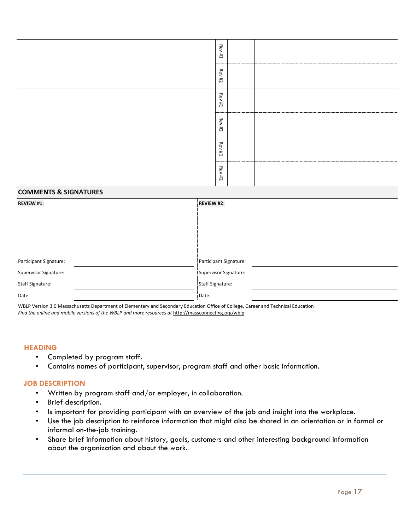| Rev<br>Ħ,         |  |
|-------------------|--|
| Rev<br>74         |  |
| <b>Rev #1</b>     |  |
| Rev<br>$t\bar{t}$ |  |
| Rev<br>#1         |  |
| ReV#2             |  |

#### **COMMENTS & SIGNATURES**

| <b>REVIEW #1:</b>      | REVIEW #2:             |  |
|------------------------|------------------------|--|
|                        |                        |  |
|                        |                        |  |
|                        |                        |  |
|                        |                        |  |
|                        |                        |  |
| Participant Signature: | Participant Signature: |  |
| Supervisor Signature:  | Supervisor Signature:  |  |
| Staff Signature:       | Staff Signature:       |  |
| Date:                  | Date:                  |  |

WBLP Version 3.0 Massachusetts Department of Elementary and Secondary Education Office of College, Career and Technical Education *Find the online and mobile versions of the WBLP and more resources at* <http://massconnecting.org/wblp>

#### **HEADING**

- Completed by program staff.
- Contains names of participant, supervisor, program staff and other basic information.

#### **JOB DESCRIPTION**

- Written by program staff and/or employer, in collaboration.
- Brief description.
- Is important for providing participant with an overview of the job and insight into the workplace.
- Use the job description to reinforce information that might also be shared in an orientation or in formal or informal on-the-job training.
- Share brief information about history, goals, customers and other interesting background information about the organization and about the work.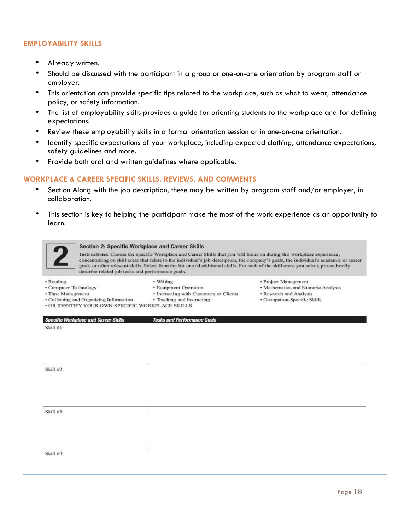#### **EMPLOYABILITY SKILLS**

- Already written.
- Should be discussed with the participant in a group or one-on-one orientation by program staff or employer.
- This orientation can provide specific tips related to the workplace, such as what to wear, attendance policy, or safety information.
- The list of employability skills provides a guide for orienting students to the workplace and for defining expectations.
- Review these employability skills in a formal orientation session or in one-on-one orientation.
- Identify specific expectations of your workplace, including expected clothing, attendance expectations, safety guidelines and more.
- Provide both oral and written guidelines where applicable.

#### **WORKPLACE & CAREER SPECIFIC SKILLS, REVIEWS, AND COMMENTS**

- Section Along with the job description, these may be written by program staff and/or employer, in collaboration.
- This section is key to helping the participant make the most of the work experience as an opportunity to learn.



#### **Section 2: Specific Workplace and Career Skills**

Instructions: Choose the specific Workplace and Career Skills that you will focus on during this workplace experience, concentrating on skill areas that relate to the individual's job description, the company's goals, the individual's academic or career goals or other relevant skills. Select from the list or add additional skills. For each of the skill areas you select, please briefly describe related job tasks and performance goals.

· Reading

• Writing

- Computer Technology
- Time Management
- · Equipment Operation
- · Interacting with Customers or Clients • Teaching and Instructing
- · Collecting and Organizing Information
- · OR IDENTIFY YOUR OWN SPECIFIC WORKPLACE SKILLS
- Project Management
- Mathematics and Numeric Analysis
- · Research and Analysis
- · Occupation-Specific Skills

| <b>Specific Workplace and Career Skills</b> | <b>Tasks and Performance Goals</b> |
|---------------------------------------------|------------------------------------|
| Skill #1:                                   |                                    |
|                                             |                                    |
|                                             |                                    |
|                                             |                                    |
|                                             |                                    |
| Skill #2:                                   |                                    |
|                                             |                                    |
|                                             |                                    |
|                                             |                                    |
|                                             |                                    |
| Skill #3:                                   |                                    |
|                                             |                                    |
|                                             |                                    |
|                                             |                                    |
| Skill #4:                                   |                                    |
|                                             |                                    |
|                                             |                                    |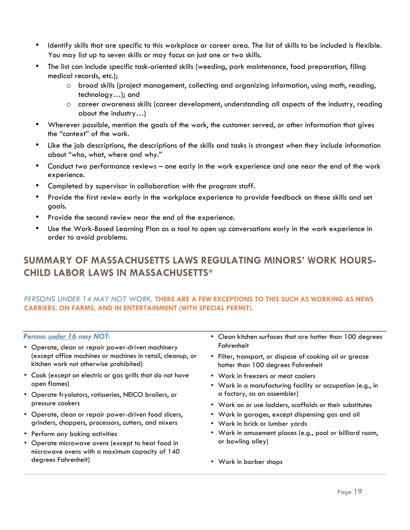- Identify skills that are specific to this workplace or career area. The list of skills to be included is flexible. You may list up to seven skills or may focus on just one or two skills.
- The list can include specific task-oriented skills (weeding, park maintenance, food preparation, filing medical records, etc.);
	- $\circ$  broad skills (project management, collecting and organizing information, using math, reading, technology…); and
	- o career awareness skills (career development, understanding all aspects of the industry, reading about the industry…)
- Wherever possible, mention the goals of the work, the customer served, or other information that gives the "context" of the work.
- Like the job descriptions, the descriptions of the skills and tasks is strongest when they include information about "who, what, where and why."
- Conduct two performance reviews one early in the work experience and one near the end of the work experience.
- Completed by supervisor in collaboration with the program staff.
- Provide the first review early in the workplace experience to provide feedback on these skills and set goals.
- Provide the second review near the end of the experience.
- Use the Work-Based Learning Plan as a tool to open up conversations early in the work experience in order to avoid problems.

# **SUMMARY OF MASSACHUSETTS LAWS REGULATING MINORS' WORK HOURS-CHILD LABOR LAWS IN MASSACHUSETTS\***

#### *PERSONS UNDER 14 MAY NOT WORK.* **THERE ARE A FEW EXCEPTIONS TO THIS SUCH AS WORKING AS NEWS CARRIERS, ON FARMS, AND IN ENTERTAINMENT (WITH SPECIAL PERMIT).**

#### *Persons under 16 may NOT:*

- Operate, clean or repair power-driven machinery (except office machines or machines in retail, cleanup, or kitchen work not otherwise prohibited)
- Cook (except on electric or gas grills that do not have open flames)
- Operate fryolators, rotisseries, NEICO broilers, or pressure cookers
- Operate, clean or repair power-driven food slicers, grinders, choppers, processors, cutters, and mixers
- Perform any baking activities
- Operate microwave ovens (except to heat food in microwave ovens with a maximum capacity of 140 degrees Fahrenheit)
- Clean kitchen surfaces that are hotter than 100 degrees Fahrenheit
- Filter, transport, or dispose of cooking oil or grease hotter than 100 degrees Fahrenheit
- Work in freezers or meat coolers
- Work in a manufacturing facility or occupation (e.g., in a factory, as an assembler)
- Work on or use ladders, scaffolds or their substitutes
- Work in garages, except dispensing gas and oil
- Work in brick or lumber yards
- Work in amusement places (e.g., pool or billiard room, or bowling alley)
- Work in barber shops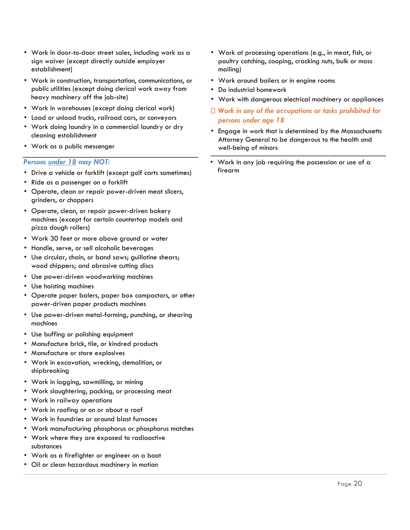- Work in door-to-door street sales, including work as a sign waiver (except directly outside employer establishment)
- Work in construction, transportation, communications, or public utilities (except doing clerical work away from heavy machinery off the job-site)
- Work in warehouses (except doing clerical work)
- Load or unload trucks, railroad cars, or conveyors
- Work doing laundry in a commercial laundry or dry cleaning establishment
- Work as a public messenger

#### *Persons under 18 may NOT:*

- Drive a vehicle or forklift (except golf carts sometimes)
- Ride as a passenger on a forklift
- Operate, clean or repair power-driven meat slicers, grinders, or choppers
- Operate, clean, or repair power-driven bakery machines (except for certain countertop models and pizza dough rollers)
- Work 30 feet or more above ground or water
- Handle, serve, or sell alcoholic beverages
- Use circular, chain, or band saws; guillotine shears; wood chippers; and abrasive cutting discs
- Use power-driven woodworking machines
- Use hoisting machines
- Operate paper balers, paper box compactors, or other power-driven paper products machines
- Use power-driven metal-forming, punching, or shearing machines
- Use buffing or polishing equipment
- Manufacture brick, tile, or kindred products
- Manufacture or store explosives
- Work in excavation, wrecking, demolition, or shipbreaking
- Work in logging, sawmilling, or mining
- Work slaughtering, packing, or processing meat
- Work in railway operations
- Work in roofing or on or about a roof
- Work in foundries or around blast furnaces
- Work manufacturing phosphorus or phosphorus matches
- Work where they are exposed to radioactive substances
- Work as a firefighter or engineer on a boat
- Oil or clean hazardous machinery in motion
- Work at processing operations (e.g., in meat, fish, or poultry catching, cooping, cracking nuts, bulk or mass mailing)
- Work around boilers or in engine rooms
- Do industrial homework
- Work with dangerous electrical machinery or appliances
- *Work in any of the occupations or tasks prohibited for persons under age 18*
- Engage in work that is determined by the Massachusetts Attorney General to be dangerous to the health and well-being of minors
- Work in any job requiring the possession or use of a firearm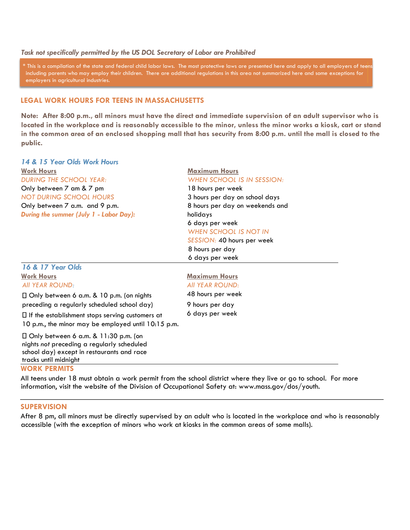#### *Task not specifically permitted by the US DOL Secretary of Labor are Prohibited*

\* This is a compilation of the state and federal child labor laws. The most protective laws are presented here and apply to all employers of teens including parents who may employ their children. There are additional regulations in this area not summarized here and some exceptions for employers in agricultural industries.

#### **LEGAL WORK HOURS FOR TEENS IN MASSACHUSETTS**

**Note: After 8:00 p.m., all minors must have the direct and immediate supervision of an adult supervisor who is located in the workplace and is reasonably accessible to the minor, unless the minor works a kiosk, cart or stand in the common area of an enclosed shopping mall that has security from 8:00 p.m. until the mall is closed to the public.** 

*14 & 15 Year Olds Work Hours*  **Work Hours** *DURING THE SCHOOL YEAR:*  Only between 7 am & 7 pm *NOT DURING SCHOOL HOURS*  Only between 7 a.m. and 9 p.m. *During the summer (July 1 - Labor Day):*

#### **Maximum Hours**  *WHEN SCHOOL IS IN SESSION:*  18 hours per week

3 hours per day on school days 8 hours per day on weekends and holidays 6 days per week *WHEN SCHOOL IS NOT IN SESSION:* 40 hours per week

8 hours per day 6 days per week

6 days per week

### Work Hours **Maximum Hours** Maximum Hours *All YEAR ROUND: All YEAR ROUND:* Only between 6 a.m. & 10 p.m. (on nights 48 hours per week preceding a regularly scheduled school day) 9 hours per day

 $\Box$  If the establishment stops serving customers at 10 p.m., the minor may be employed until 10:15 p.m.

Only between 6 a.m. & 11:30 p.m. (on nights *not* preceding a regularly scheduled school day) except in restaurants and race tracks until midnight

#### **WORK PERMITS**

*16 & 17 Year Olds* 

All teens under 18 must obtain a work permit from the school district where they live or go to school. For more information, visit the website of the Division of Occupational Safety at: www.mass.gov/dos/youth.

#### **SUPERVISION**

After 8 pm, all minors must be directly supervised by an adult who is located in the workplace and who is reasonably accessible (with the exception of minors who work at kiosks in the common areas of some malls).